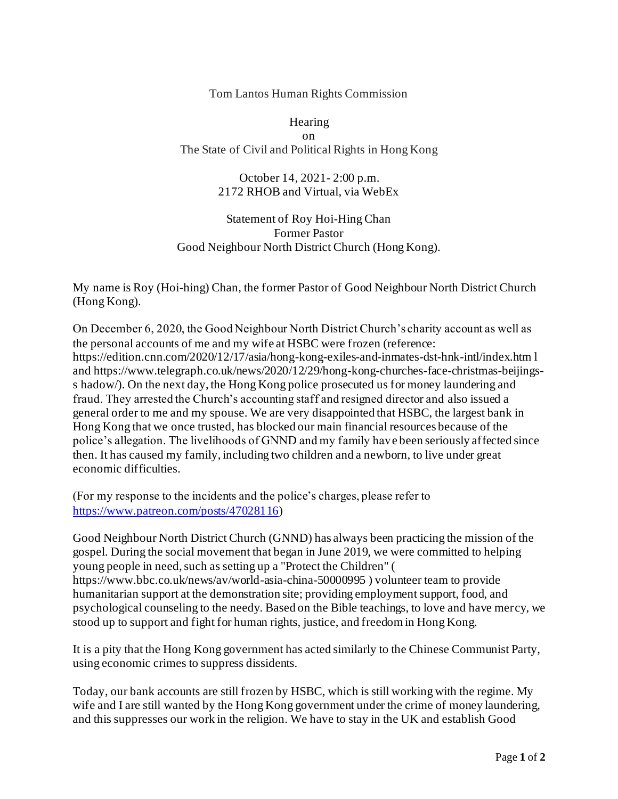Tom Lantos Human Rights Commission

Hearing on The State of Civil and Political Rights in Hong Kong

> October 14, 2021- 2:00 p.m. 2172 RHOB and Virtual, via WebEx

Statement of Roy Hoi-Hing Chan Former Pastor Good Neighbour North District Church (Hong Kong).

My name is Roy (Hoi-hing) Chan, the former Pastor of Good Neighbour North District Church (Hong Kong).

On December 6, 2020, the Good Neighbour North District Church's charity account as well as the personal accounts of me and my wife at HSBC were frozen (reference: https://edition.cnn.com/2020/12/17/asia/hong-kong-exiles-and-inmates-dst-hnk-intl/index.htm l and https://www.telegraph.co.uk/news/2020/12/29/hong-kong-churches-face-christmas-beijingss hadow/). On the next day, the Hong Kong police prosecuted us for money laundering and fraud. They arrested the Church's accounting staff and resigned director and also issued a general order to me and my spouse. We are very disappointed that HSBC, the largest bank in Hong Kong that we once trusted, has blocked our main financial resources because of the police's allegation. The livelihoods of GNND and my family have been seriously affected since then. It has caused my family, including two children and a newborn, to live under great economic difficulties.

(For my response to the incidents and the police's charges, please refer to <https://www.patreon.com/posts/47028116>)

Good Neighbour North District Church (GNND) has always been practicing the mission of the gospel. During the social movement that began in June 2019, we were committed to helping young people in need, such as setting up a "Protect the Children" ( https://www.bbc.co.uk/news/av/world-asia-china-50000995 ) volunteer team to provide humanitarian support at the demonstration site; providing employment support, food, and psychological counseling to the needy. Based on the Bible teachings, to love and have mercy, we stood up to support and fight for human rights, justice, and freedom in Hong Kong.

It is a pity that the Hong Kong government has acted similarly to the Chinese Communist Party, using economic crimes to suppress dissidents.

Today, our bank accounts are still frozen by HSBC, which is still working with the regime. My wife and I are still wanted by the Hong Kong government under the crime of money laundering, and this suppresses our work in the religion. We have to stay in the UK and establish Good